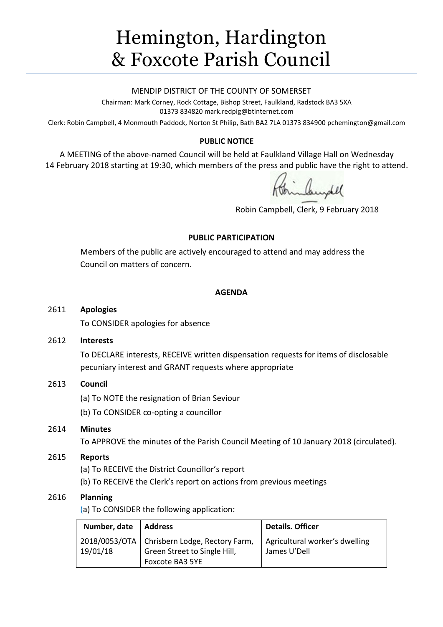# Hemington, Hardington & Foxcote Parish Council

#### MENDIP DISTRICT OF THE COUNTY OF SOMERSET

Chairman: Mark Corney, Rock Cottage, Bishop Street, Faulkland, Radstock BA3 5XA 01373 834820 mark.redpig@btinternet.com

Clerk: Robin Campbell, 4 Monmouth Paddock, Norton St Philip, Bath BA2 7LA 01373 834900 [pchemington@gmail.com](mailto:pchemington@gmail.com)

## **PUBLIC NOTICE**

A MEETING of the above-named Council will be held at Faulkland Village Hall on Wednesday 14 February 2018 starting at 19:30, which members of the press and public have the right to attend.

inhundel

Robin Campbell, Clerk, 9 February 2018

#### **PUBLIC PARTICIPATION**

Members of the public are actively encouraged to attend and may address the Council on matters of concern.

#### **AGENDA**

#### 2611 **Apologies**

To CONSIDER apologies for absence

#### 2612 **Interests**

To DECLARE interests, RECEIVE written dispensation requests for items of disclosable pecuniary interest and GRANT requests where appropriate

#### 2613 **Council**

(a) To NOTE the resignation of Brian Seviour

(b) To CONSIDER co-opting a councillor

#### 2614 **Minutes**

To APPROVE the minutes of the Parish Council Meeting of 10 January 2018 (circulated).

#### 2615 **Reports**

(a) To RECEIVE the District Councillor's report

(b) To RECEIVE the Clerk's report on actions from previous meetings

# 2616 **Planning**

(a) To CONSIDER the following application:

| Number, date | Address                                                                                                  | <b>Details. Officer</b>                        |
|--------------|----------------------------------------------------------------------------------------------------------|------------------------------------------------|
| 19/01/18     | 2018/0053/OTA   Chrisbern Lodge, Rectory Farm,<br>Green Street to Single Hill,<br><b>Foxcote BA3 5YE</b> | Agricultural worker's dwelling<br>James U'Dell |